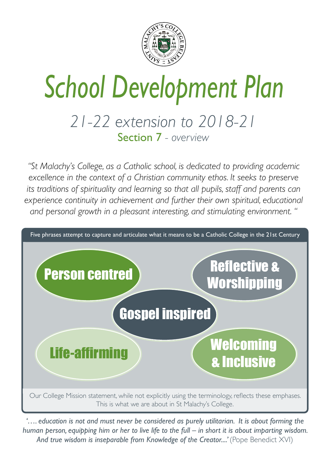# *School Development Plan*

### *21-22 extension to 2018-21* Section 7 *- overview*



"St Malachy's College, as a Catholic school, is dedicated to providing academic excellence in the context of a Christian community ethos. It seeks to preserve its traditions of spirituality and learning so that all pupils, staff and parents can experience continuity in achievement and further their own spiritual, educational *and personal growth in a pleasant interesting, and stimulating environment. "*

*'…. education is not and must never be considered as purely utilitarian. It is about forming the human person, equipping him or her to live life to the full – in short it is about imparting wisdom.*  And true wisdom is inseparable from Knowledge of the Creator....' (Pope Benedict XVI)



Our College Mission statement, while not explicitly using the terminology, reflects these emphases. This is what we are about in St Malachy's College.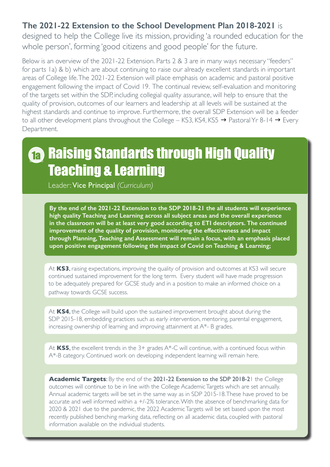At **KS3**, raising expectations, improving the quality of provision and outcomes at KS3 will secure continued sustained improvement for the long term. Every student will have made progression to be adequately prepared for GCSE study and in a position to make an informed choice on a pathway towards GCSE success.

#### **The 2021-22 Extension to the School Development Plan 2018-2021** is

designed to help the College live its mission, providing 'a rounded education for the whole person', forming 'good citizens and good people' for the future.

Below is an overview of the 2021-22 Extension. Parts 2 & 3 are in many ways necessary "feeders" for parts 1a) & b) which are about continuing to raise our already excellent standards in important areas of College life. The 2021-22 Extension will place emphasis on academic and pastoral positive engagement following the impact of Covid 19. The continual review, self-evaluation and monitoring of the targets set within the SDP, including collegial quality assurance, will help to ensure that the quality of provision, outcomes of our learners and leadership at all levels will be sustained at the highest standards and continue to improve. Furthermore, the overall SDP Extension will be a feeder to all other development plans throughout the College – KS3, KS4, KS5  $\rightarrow$  Pastoral Yr 8-14  $\rightarrow$  Every Department.

**By the end of the 2021-22 Extension to the SDP 2018-21 the all students will experience high quality Teaching and Learning across all subject areas and the overall experience in the classroom will be at least very good according to ETI descriptors. The continued improvement of the quality of provision, monitoring the effectiveness and impact through Planning, Teaching and Assessment will remain a focus, with an emphasis placed upon positive engagement following the impact of Covid on Teaching & Learning;**

### 1a Raising Standards through High Quality Teaching & Learning

Leader: Vice Principal *(Curriculum)*

At **KS4**, the College will build upon the sustained improvement brought about during the SDP 2015-18, embedding practices such as early intervention, mentoring, parental engagement, increasing ownership of learning and improving attainment at A\*- B grades.

At KS5, the excellent trends in the 3+ grades A\*-C will continue, with a continued focus within

A\*-B category. Continued work on developing independent learning will remain here.

**Academic Targets**: By the end of the 2021-22 Extension to the SDP 2018-21 the College outcomes will continue to be in line with the College Academic Targets which are set annually. Annual academic targets will be set in the same way as in SDP 2015-18. These have proved to be accurate and well informed within a +/-2% tolerance. With the absence of benchmarking data for 2020 & 2021 due to the pandemic, the 2022 Academic Targets will be set based upon the most recently published benching marking data, reflecting on all academic data, coupled with pastoral information available on the individual students.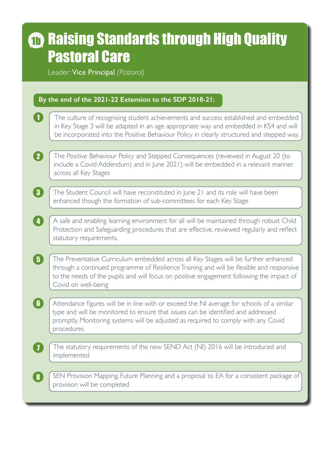# **m** Raising Standards through High Quality Pastoral Care

Leader: Vice Principal *(Pastoral)*

1

6

7

#### **By the end of the 2021-22 Extension to the SDP 2018-21:**

- The culture of recognising student achievements and success established and embedded in Key Stage 3 will be adapted in an age appropriate way and embedded in KS4 and will be incorporated into the Positive Behaviour Policy in clearly structured and stepped way.
- 2 The Positive Behaviour Policy and Stepped Consequences (reviewed in August 20 (to include a Covid Addendum) and in June 2021) will be embedded in a relevant manner across all Key Stages
- 3 The Student Council will have reconstituted in June 21 and its role will have been enhanced though the formation of sub-committees for each Key Stage
- 4 A safe and enabling learning environment for all will be maintained through robust Child Protection and Safeguarding procedures that are effective, reviewed regularly and reflect statutory requirements.
- 5 The Preventative Curriculum embedded across all Key Stages will be further enhanced through a continued programme of Resilience Training and will be flexible and responsive to the needs of the pupils and will focus on positive engagement following the impact of Covid on well-being
	- Attendance figures will be in line with or exceed the NI average for schools of a similar type and will be monitored to ensure that issues can be identified and addressed promptly. Monitoring systems will be adjusted as required to comply with any Covid procedures

8 SEN Provision Mapping, Future Planning and a proposal to EA for a consistent package of provision will be completed

The statutory requirements of the new SEND Act (NI) 2016 will be introduced and



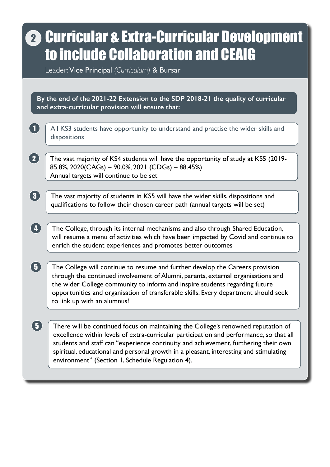All KS3 students have opportunity to understand and practise the wider skills and dispositions

The vast majority of KS4 students will have the opportunity of study at KS5 (2019- 85.8%, 2020(CAGs) – 90.0%, 2021 (CDGs) – 88.45%) Annual targets will continue to be set

The vast majority of students in KS5 will have the wider skills, dispositions and qualifications to follow their chosen career path (annual targets will be set)

# 2) Curricular & Extra-Curricular Development to include Collaboration and CEAIG

The College, through its internal mechanisms and also through Shared Education, will resume a menu of activities which have been impacted by Covid and continue to enrich the student experiences and promotes better outcomes

1

2

3

4

Leader: Vice Principal *(Curriculum)* & Bursar

**By the end of the 2021-22 Extension to the SDP 2018-21 the quality of curricular and extra-curricular provision will ensure that:**

 The College will continue to resume and further develop the Careers provision through the continued involvement of Alumni, parents, external organisations and the wider College community to inform and inspire students regarding future opportunities and organisation of transferable skills. Every department should seek to link up with an alumnus! 5

 There will be continued focus on maintaining the College's renowned reputation of excellence within levels of extra-curricular participation and performance, so that all students and staff can "experience continuity and achievement, furthering their own spiritual, educational and personal growth in a pleasant, interesting and stimulating environment" (Section 1, Schedule Regulation 4). 5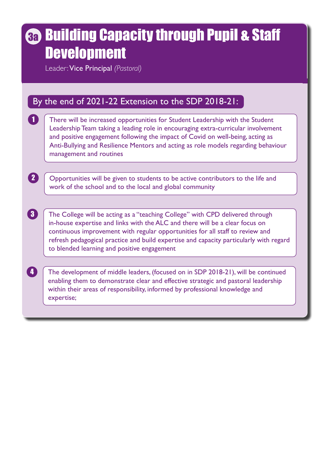There will be increased opportunities for Student Leadership with the Student Leadership Team taking a leading role in encouraging extra-curricular involvement and positive engagement following the impact of Covid on well-being, acting as Anti-Bullying and Resilience Mentors and acting as role models regarding behaviour management and routines

Opportunities will be given to students to be active contributors to the life and work of the school and to the local and global community

## Building Capacity through Pupil & Staff 3a **Development**

The College will be acting as a "teaching College" with CPD delivered through in-house expertise and links with the ALC and there will be a clear focus on continuous improvement with regular opportunities for all staff to review and refresh pedagogical practice and build expertise and capacity particularly with regard to blended learning and positive engagement

1

2

3

### By the end of 2021-22 Extension to the SDP 2018-21:

Leader: Vice Principal *(Pastoral)*

The development of middle leaders, (focused on in SDP 2018-21), will be continued enabling them to demonstrate clear and effective strategic and pastoral leadership within their areas of responsibility, informed by professional knowledge and expertise;

4